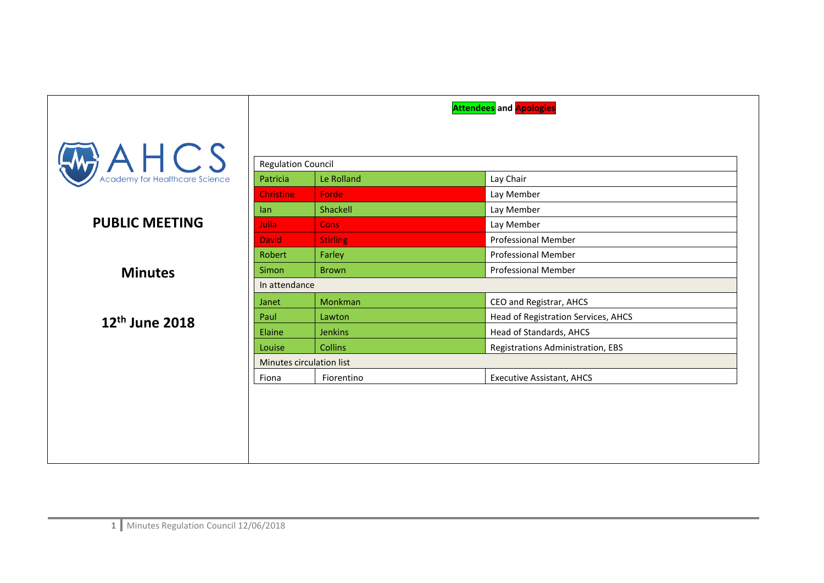|                            | <b>Attendees</b> and <b>Apologies</b> |                 |                                     |
|----------------------------|---------------------------------------|-----------------|-------------------------------------|
| $A \cup B$                 |                                       |                 |                                     |
|                            | <b>Regulation Council</b><br>Patricia | Le Rolland      | Lay Chair                           |
|                            | <b>Christine</b>                      | Forde           | Lay Member                          |
|                            | lan                                   | Shackell        | Lay Member                          |
| <b>PUBLIC MEETING</b>      | Julia.                                | <b>Cons</b>     | Lay Member                          |
|                            | <b>David</b>                          | <b>Stirling</b> | <b>Professional Member</b>          |
|                            | Robert                                | Farley          | <b>Professional Member</b>          |
| <b>Minutes</b>             | <b>Simon</b>                          | <b>Brown</b>    | <b>Professional Member</b>          |
|                            | In attendance                         |                 |                                     |
|                            | Janet                                 | Monkman         | CEO and Registrar, AHCS             |
| 12 <sup>th</sup> June 2018 | Paul                                  | Lawton          | Head of Registration Services, AHCS |
|                            | Elaine                                | <b>Jenkins</b>  | Head of Standards, AHCS             |
|                            | Louise                                | <b>Collins</b>  | Registrations Administration, EBS   |
|                            | Minutes circulation list              |                 |                                     |
|                            | Fiona                                 | Fiorentino      | <b>Executive Assistant, AHCS</b>    |
|                            |                                       |                 |                                     |
|                            |                                       |                 |                                     |
|                            |                                       |                 |                                     |
|                            |                                       |                 |                                     |
|                            |                                       |                 |                                     |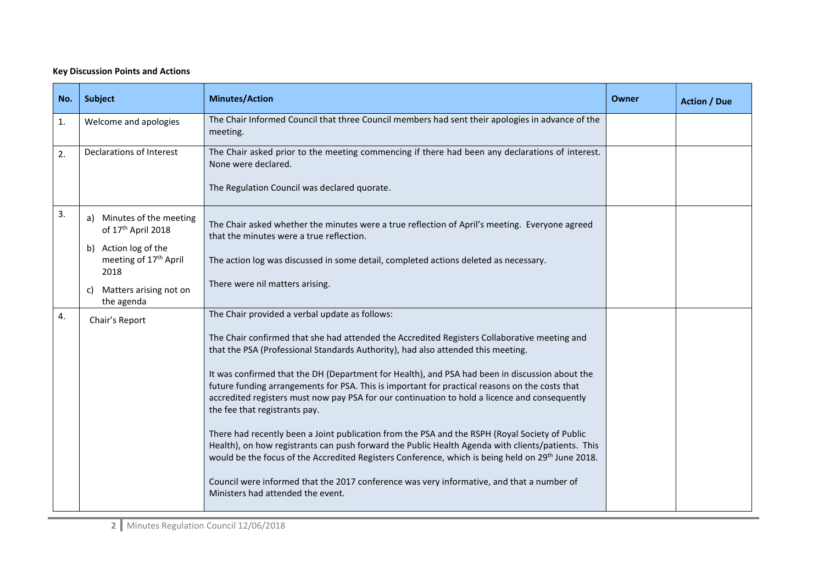## **Key Discussion Points and Actions**

| No. | Subject                                                           | <b>Minutes/Action</b>                                                                                                                                                                                                                                                                                                | Owner | <b>Action / Due</b> |
|-----|-------------------------------------------------------------------|----------------------------------------------------------------------------------------------------------------------------------------------------------------------------------------------------------------------------------------------------------------------------------------------------------------------|-------|---------------------|
| 1.  | Welcome and apologies                                             | The Chair Informed Council that three Council members had sent their apologies in advance of the<br>meeting.                                                                                                                                                                                                         |       |                     |
| 2.  | Declarations of Interest                                          | The Chair asked prior to the meeting commencing if there had been any declarations of interest.<br>None were declared.                                                                                                                                                                                               |       |                     |
|     |                                                                   | The Regulation Council was declared quorate.                                                                                                                                                                                                                                                                         |       |                     |
| 3.  | a) Minutes of the meeting<br>of 17th April 2018                   | The Chair asked whether the minutes were a true reflection of April's meeting. Everyone agreed<br>that the minutes were a true reflection.                                                                                                                                                                           |       |                     |
|     | b) Action log of the<br>meeting of 17 <sup>th</sup> April<br>2018 | The action log was discussed in some detail, completed actions deleted as necessary.                                                                                                                                                                                                                                 |       |                     |
|     | c) Matters arising not on<br>the agenda                           | There were nil matters arising.                                                                                                                                                                                                                                                                                      |       |                     |
| 4.  | Chair's Report                                                    | The Chair provided a verbal update as follows:                                                                                                                                                                                                                                                                       |       |                     |
|     |                                                                   | The Chair confirmed that she had attended the Accredited Registers Collaborative meeting and<br>that the PSA (Professional Standards Authority), had also attended this meeting.                                                                                                                                     |       |                     |
|     |                                                                   | It was confirmed that the DH (Department for Health), and PSA had been in discussion about the<br>future funding arrangements for PSA. This is important for practical reasons on the costs that                                                                                                                     |       |                     |
|     |                                                                   | accredited registers must now pay PSA for our continuation to hold a licence and consequently<br>the fee that registrants pay.                                                                                                                                                                                       |       |                     |
|     |                                                                   | There had recently been a Joint publication from the PSA and the RSPH (Royal Society of Public<br>Health), on how registrants can push forward the Public Health Agenda with clients/patients. This<br>would be the focus of the Accredited Registers Conference, which is being held on 29 <sup>th</sup> June 2018. |       |                     |
|     |                                                                   | Council were informed that the 2017 conference was very informative, and that a number of<br>Ministers had attended the event.                                                                                                                                                                                       |       |                     |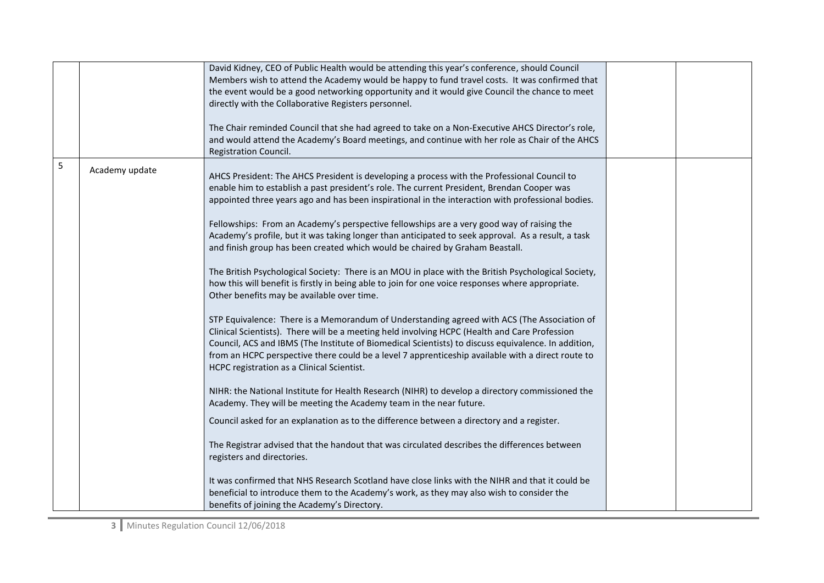|   |                | David Kidney, CEO of Public Health would be attending this year's conference, should Council<br>Members wish to attend the Academy would be happy to fund travel costs. It was confirmed that<br>the event would be a good networking opportunity and it would give Council the chance to meet<br>directly with the Collaborative Registers personnel.<br>The Chair reminded Council that she had agreed to take on a Non-Executive AHCS Director's role,<br>and would attend the Academy's Board meetings, and continue with her role as Chair of the AHCS<br>Registration Council.                                                                                                                                                                                                                                                                                                                                                                                                                                                                                                                                                                                                                                                                                                                                                                                                                                                                                                                                                                                                                                                                                                                                                                                                                                                                                                                                                                      |  |
|---|----------------|-----------------------------------------------------------------------------------------------------------------------------------------------------------------------------------------------------------------------------------------------------------------------------------------------------------------------------------------------------------------------------------------------------------------------------------------------------------------------------------------------------------------------------------------------------------------------------------------------------------------------------------------------------------------------------------------------------------------------------------------------------------------------------------------------------------------------------------------------------------------------------------------------------------------------------------------------------------------------------------------------------------------------------------------------------------------------------------------------------------------------------------------------------------------------------------------------------------------------------------------------------------------------------------------------------------------------------------------------------------------------------------------------------------------------------------------------------------------------------------------------------------------------------------------------------------------------------------------------------------------------------------------------------------------------------------------------------------------------------------------------------------------------------------------------------------------------------------------------------------------------------------------------------------------------------------------------------------|--|
| 5 | Academy update | AHCS President: The AHCS President is developing a process with the Professional Council to<br>enable him to establish a past president's role. The current President, Brendan Cooper was<br>appointed three years ago and has been inspirational in the interaction with professional bodies.<br>Fellowships: From an Academy's perspective fellowships are a very good way of raising the<br>Academy's profile, but it was taking longer than anticipated to seek approval. As a result, a task<br>and finish group has been created which would be chaired by Graham Beastall.<br>The British Psychological Society: There is an MOU in place with the British Psychological Society,<br>how this will benefit is firstly in being able to join for one voice responses where appropriate.<br>Other benefits may be available over time.<br>STP Equivalence: There is a Memorandum of Understanding agreed with ACS (The Association of<br>Clinical Scientists). There will be a meeting held involving HCPC (Health and Care Profession<br>Council, ACS and IBMS (The Institute of Biomedical Scientists) to discuss equivalence. In addition,<br>from an HCPC perspective there could be a level 7 apprenticeship available with a direct route to<br>HCPC registration as a Clinical Scientist.<br>NIHR: the National Institute for Health Research (NIHR) to develop a directory commissioned the<br>Academy. They will be meeting the Academy team in the near future.<br>Council asked for an explanation as to the difference between a directory and a register.<br>The Registrar advised that the handout that was circulated describes the differences between<br>registers and directories.<br>It was confirmed that NHS Research Scotland have close links with the NIHR and that it could be<br>beneficial to introduce them to the Academy's work, as they may also wish to consider the<br>benefits of joining the Academy's Directory. |  |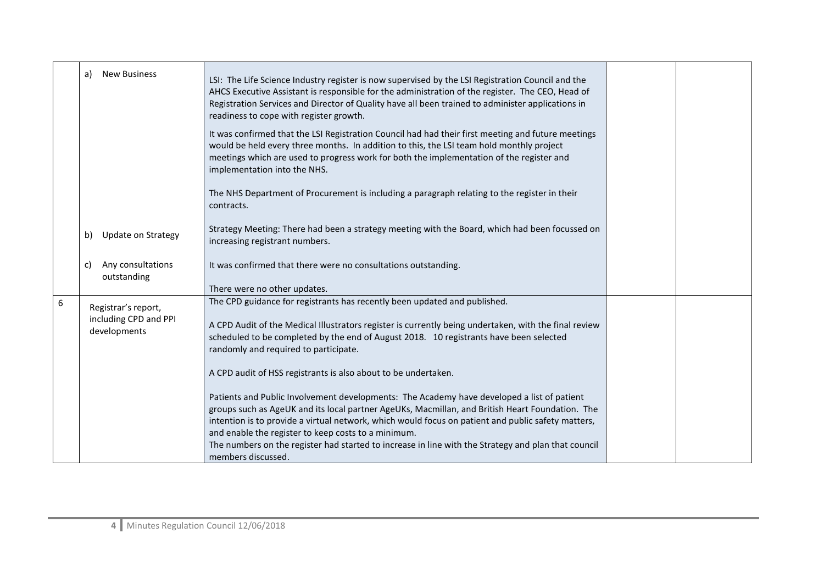|   | <b>New Business</b><br>a)                                    | LSI: The Life Science Industry register is now supervised by the LSI Registration Council and the<br>AHCS Executive Assistant is responsible for the administration of the register. The CEO, Head of<br>Registration Services and Director of Quality have all been trained to administer applications in<br>readiness to cope with register growth.                                                                                                                                   |  |
|---|--------------------------------------------------------------|-----------------------------------------------------------------------------------------------------------------------------------------------------------------------------------------------------------------------------------------------------------------------------------------------------------------------------------------------------------------------------------------------------------------------------------------------------------------------------------------|--|
|   |                                                              | It was confirmed that the LSI Registration Council had had their first meeting and future meetings<br>would be held every three months. In addition to this, the LSI team hold monthly project<br>meetings which are used to progress work for both the implementation of the register and<br>implementation into the NHS.                                                                                                                                                              |  |
|   |                                                              | The NHS Department of Procurement is including a paragraph relating to the register in their<br>contracts.                                                                                                                                                                                                                                                                                                                                                                              |  |
|   | <b>Update on Strategy</b><br>b)                              | Strategy Meeting: There had been a strategy meeting with the Board, which had been focussed on<br>increasing registrant numbers.                                                                                                                                                                                                                                                                                                                                                        |  |
|   | Any consultations<br>C)<br>outstanding                       | It was confirmed that there were no consultations outstanding.<br>There were no other updates.                                                                                                                                                                                                                                                                                                                                                                                          |  |
| 6 | Registrar's report,<br>including CPD and PPI<br>developments | The CPD guidance for registrants has recently been updated and published.<br>A CPD Audit of the Medical Illustrators register is currently being undertaken, with the final review<br>scheduled to be completed by the end of August 2018. 10 registrants have been selected<br>randomly and required to participate.<br>A CPD audit of HSS registrants is also about to be undertaken.                                                                                                 |  |
|   |                                                              | Patients and Public Involvement developments: The Academy have developed a list of patient<br>groups such as AgeUK and its local partner AgeUKs, Macmillan, and British Heart Foundation. The<br>intention is to provide a virtual network, which would focus on patient and public safety matters,<br>and enable the register to keep costs to a minimum.<br>The numbers on the register had started to increase in line with the Strategy and plan that council<br>members discussed. |  |